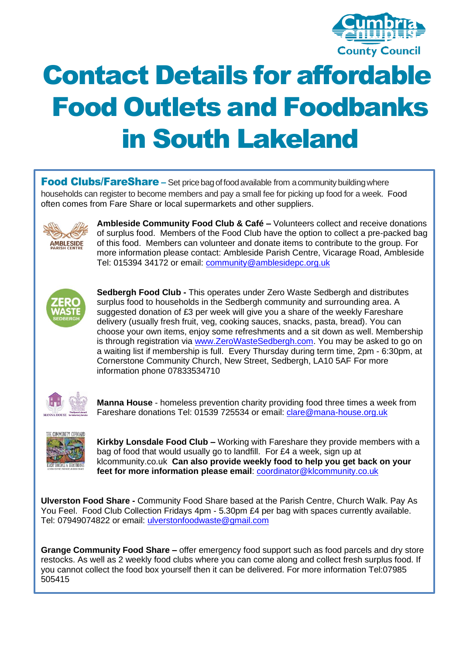

## Contact Details for affordable Food Outlets and Foodbanks in South Lakeland

**Food Clubs/FareShare** – Set price bag of food available from a community building where households can register to become members and pay a small fee for picking up food for a week. Food often comes from Fare Share or local supermarkets and other suppliers.



**Ambleside Community Food Club & Café –** Volunteers collect and receive donations of surplus food. Members of the Food Club have the option to collect a pre-packed bag of this food. Members can volunteer and donate items to contribute to the group. For more information please contact: Ambleside Parish Centre, Vicarage Road, Ambleside Tel: 015394 34172 or email: [community@amblesidepc.org.uk](mailto:community@amblesidepc.org.uk)



**Sedbergh Food Club -** This operates under Zero Waste Sedbergh and distributes surplus food to households in the Sedbergh community and surrounding area. A suggested donation of £3 per week will give you a share of the weekly Fareshare delivery (usually fresh fruit, veg, cooking sauces, snacks, pasta, bread). You can choose your own items, enjoy some refreshments and a sit down as well. Membership is through registration via [www.ZeroWasteSedbergh.com.](https://smex-ctp.trendmicro.com/wis/clicktime/v1/query?url=http%3a%2f%2fwww.ZeroWasteSedbergh.com&umid=8230a3b4-77a7-45d8-8fb1-07ecc242352b&auth=438558d5329f5814a0a31cfd8e89073841978136-fa5a98e5449f4cd45d480bfa0fcb1db5cd7b885a) You may be asked to go on a waiting list if membership is full. Every Thursday during term time, 2pm - 6:30pm, at Cornerstone Community Church, New Street, Sedbergh, LA10 5AF For more information phone 07833534710



**Manna House** - homeless prevention charity providing food three times a week from Fareshare donations Tel: 01539 725534 or email: [clare@mana-house.org.uk](mailto:clare@mana-house.org.uk)



**Kirkby Lonsdale Food Club –** Working with Fareshare they provide members with a bag of food that would usually go to landfill. For £4 a week, sign up at klcommunity.co.uk **Can also provide weekly food to help you get back on your feet for more information please email**: [coordinator@klcommunity.co.uk](mailto:coordinator@klcommunity.co.uk)

**Ulverston Food Share -** Community Food Share based at the Parish Centre, Church Walk. Pay As You Feel. Food Club Collection Fridays 4pm - 5.30pm £4 per bag with spaces currently available. Tel: 07949074822 or email: [ulverstonfoodwaste@gmail.com](mailto:ulverstonfoodwaste@gmail.com)

**Grange Community Food Share –** offer emergency food support such as food parcels and dry store restocks. As well as 2 weekly food clubs where you can come along and collect fresh surplus food. If you cannot collect the food box yourself then it can be delivered. For more information [Tel:07985](tel:07985) 505415